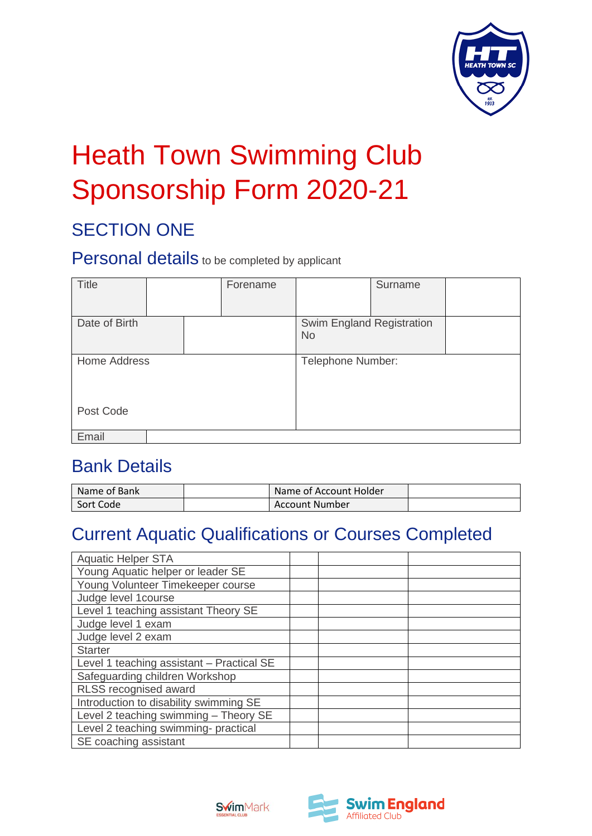

# Heath Town Swimming Club Sponsorship Form 2020-21

# SECTION ONE

Personal details to be completed by applicant

| Title               |  |  | Forename                        |  | Surname |  |
|---------------------|--|--|---------------------------------|--|---------|--|
| Date of Birth       |  |  | Swim England Registration<br>No |  |         |  |
| <b>Home Address</b> |  |  | Telephone Number:               |  |         |  |
| Post Code           |  |  |                                 |  |         |  |
| Email               |  |  |                                 |  |         |  |

## Bank Details

| Name of Bank | Name of Account Holder |  |
|--------------|------------------------|--|
| Sort Code    | Account Number         |  |

# Current Aquatic Qualifications or Courses Completed

| Aquatic Helper STA                        |  |
|-------------------------------------------|--|
| Young Aquatic helper or leader SE         |  |
| Young Volunteer Timekeeper course         |  |
| Judge level 1 course                      |  |
| Level 1 teaching assistant Theory SE      |  |
| Judge level 1 exam                        |  |
| Judge level 2 exam                        |  |
| <b>Starter</b>                            |  |
| Level 1 teaching assistant - Practical SE |  |
| Safeguarding children Workshop            |  |
| RLSS recognised award                     |  |
| Introduction to disability swimming SE    |  |
| Level 2 teaching swimming - Theory SE     |  |
| Level 2 teaching swimming- practical      |  |
| SE coaching assistant                     |  |



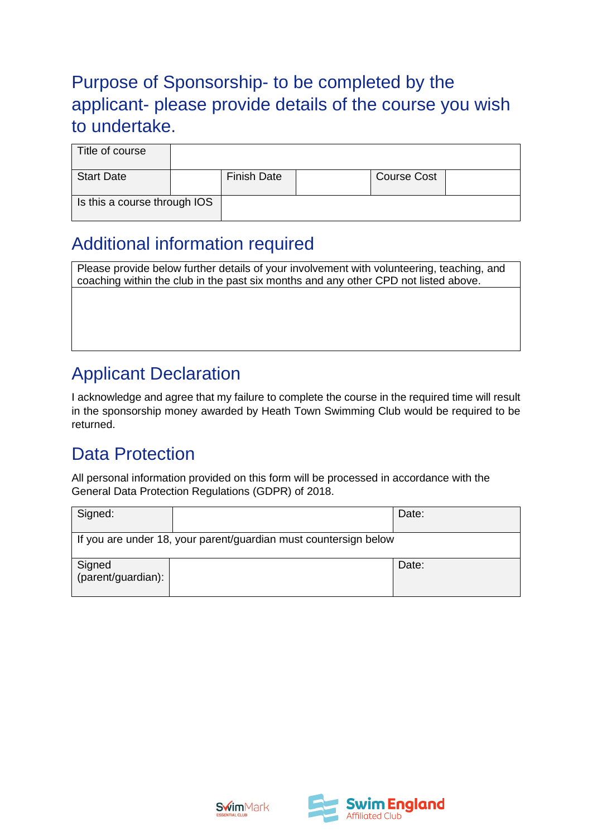# Purpose of Sponsorship- to be completed by the applicant- please provide details of the course you wish to undertake.

| Title of course              |  |                    |                    |  |
|------------------------------|--|--------------------|--------------------|--|
| <b>Start Date</b>            |  | <b>Finish Date</b> | <b>Course Cost</b> |  |
| Is this a course through IOS |  |                    |                    |  |

## Additional information required

Please provide below further details of your involvement with volunteering, teaching, and coaching within the club in the past six months and any other CPD not listed above.

## Applicant Declaration

I acknowledge and agree that my failure to complete the course in the required time will result in the sponsorship money awarded by Heath Town Swimming Club would be required to be returned.

## Data Protection

All personal information provided on this form will be processed in accordance with the General Data Protection Regulations (GDPR) of 2018.

| Signed:                      |                                                                  | Date: |
|------------------------------|------------------------------------------------------------------|-------|
|                              | If you are under 18, your parent/guardian must countersign below |       |
| Signed<br>(parent/guardian): |                                                                  | Date: |